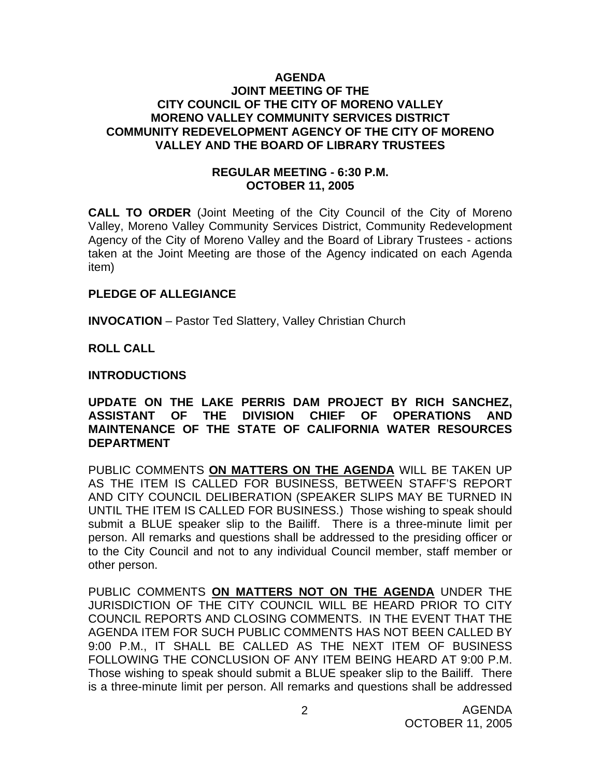#### **AGENDA JOINT MEETING OF THE CITY COUNCIL OF THE CITY OF MORENO VALLEY MORENO VALLEY COMMUNITY SERVICES DISTRICT COMMUNITY REDEVELOPMENT AGENCY OF THE CITY OF MORENO VALLEY AND THE BOARD OF LIBRARY TRUSTEES**

#### **REGULAR MEETING - 6:30 P.M. OCTOBER 11, 2005**

**CALL TO ORDER** (Joint Meeting of the City Council of the City of Moreno Valley, Moreno Valley Community Services District, Community Redevelopment Agency of the City of Moreno Valley and the Board of Library Trustees - actions taken at the Joint Meeting are those of the Agency indicated on each Agenda item)

#### **PLEDGE OF ALLEGIANCE**

**INVOCATION** – Pastor Ted Slattery, Valley Christian Church

**ROLL CALL** 

#### **INTRODUCTIONS**

## **UPDATE ON THE LAKE PERRIS DAM PROJECT BY RICH SANCHEZ, ASSISTANT OF THE DIVISION CHIEF OF OPERATIONS AND MAINTENANCE OF THE STATE OF CALIFORNIA WATER RESOURCES DEPARTMENT**

PUBLIC COMMENTS **ON MATTERS ON THE AGENDA** WILL BE TAKEN UP AS THE ITEM IS CALLED FOR BUSINESS, BETWEEN STAFF'S REPORT AND CITY COUNCIL DELIBERATION (SPEAKER SLIPS MAY BE TURNED IN UNTIL THE ITEM IS CALLED FOR BUSINESS.) Those wishing to speak should submit a BLUE speaker slip to the Bailiff. There is a three-minute limit per person. All remarks and questions shall be addressed to the presiding officer or to the City Council and not to any individual Council member, staff member or other person.

PUBLIC COMMENTS **ON MATTERS NOT ON THE AGENDA** UNDER THE JURISDICTION OF THE CITY COUNCIL WILL BE HEARD PRIOR TO CITY COUNCIL REPORTS AND CLOSING COMMENTS. IN THE EVENT THAT THE AGENDA ITEM FOR SUCH PUBLIC COMMENTS HAS NOT BEEN CALLED BY 9:00 P.M., IT SHALL BE CALLED AS THE NEXT ITEM OF BUSINESS FOLLOWING THE CONCLUSION OF ANY ITEM BEING HEARD AT 9:00 P.M. Those wishing to speak should submit a BLUE speaker slip to the Bailiff. There is a three-minute limit per person. All remarks and questions shall be addressed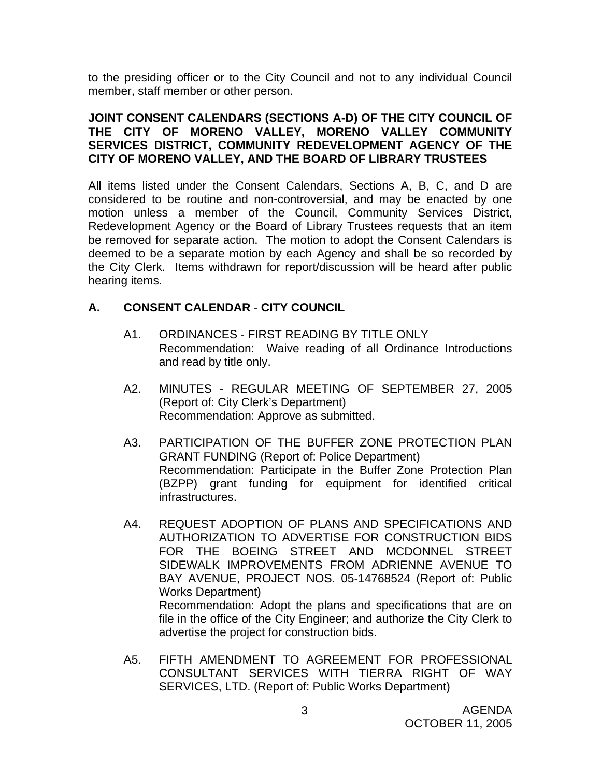to the presiding officer or to the City Council and not to any individual Council member, staff member or other person.

#### **JOINT CONSENT CALENDARS (SECTIONS A-D) OF THE CITY COUNCIL OF THE CITY OF MORENO VALLEY, MORENO VALLEY COMMUNITY SERVICES DISTRICT, COMMUNITY REDEVELOPMENT AGENCY OF THE CITY OF MORENO VALLEY, AND THE BOARD OF LIBRARY TRUSTEES**

All items listed under the Consent Calendars, Sections A, B, C, and D are considered to be routine and non-controversial, and may be enacted by one motion unless a member of the Council, Community Services District, Redevelopment Agency or the Board of Library Trustees requests that an item be removed for separate action. The motion to adopt the Consent Calendars is deemed to be a separate motion by each Agency and shall be so recorded by the City Clerk. Items withdrawn for report/discussion will be heard after public hearing items.

# **A. CONSENT CALENDAR** - **CITY COUNCIL**

- A1. ORDINANCES FIRST READING BY TITLE ONLY Recommendation: Waive reading of all Ordinance Introductions and read by title only.
- A2. MINUTES REGULAR MEETING OF SEPTEMBER 27, 2005 (Report of: City Clerk's Department) Recommendation: Approve as submitted.
- A3. PARTICIPATION OF THE BUFFER ZONE PROTECTION PLAN GRANT FUNDING (Report of: Police Department) Recommendation: Participate in the Buffer Zone Protection Plan (BZPP) grant funding for equipment for identified critical infrastructures.
- A4. REQUEST ADOPTION OF PLANS AND SPECIFICATIONS AND AUTHORIZATION TO ADVERTISE FOR CONSTRUCTION BIDS FOR THE BOEING STREET AND MCDONNEL STREET SIDEWALK IMPROVEMENTS FROM ADRIENNE AVENUE TO BAY AVENUE, PROJECT NOS. 05-14768524 (Report of: Public Works Department) Recommendation: Adopt the plans and specifications that are on file in the office of the City Engineer; and authorize the City Clerk to advertise the project for construction bids.
- A5. FIFTH AMENDMENT TO AGREEMENT FOR PROFESSIONAL CONSULTANT SERVICES WITH TIERRA RIGHT OF WAY SERVICES, LTD. (Report of: Public Works Department)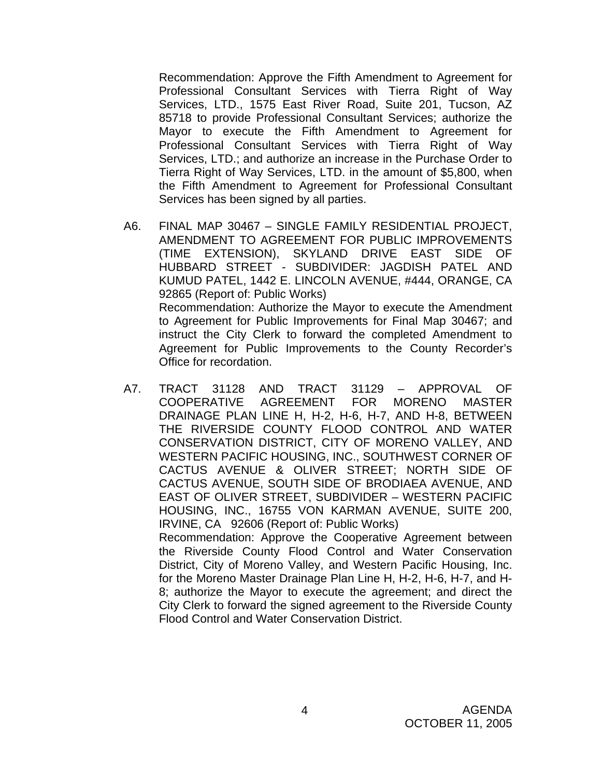Recommendation: Approve the Fifth Amendment to Agreement for Professional Consultant Services with Tierra Right of Way Services, LTD., 1575 East River Road, Suite 201, Tucson, AZ 85718 to provide Professional Consultant Services; authorize the Mayor to execute the Fifth Amendment to Agreement for Professional Consultant Services with Tierra Right of Way Services, LTD.; and authorize an increase in the Purchase Order to Tierra Right of Way Services, LTD. in the amount of \$5,800, when the Fifth Amendment to Agreement for Professional Consultant Services has been signed by all parties.

- A6. FINAL MAP 30467 SINGLE FAMILY RESIDENTIAL PROJECT, AMENDMENT TO AGREEMENT FOR PUBLIC IMPROVEMENTS (TIME EXTENSION), SKYLAND DRIVE EAST SIDE OF HUBBARD STREET - SUBDIVIDER: JAGDISH PATEL AND KUMUD PATEL, 1442 E. LINCOLN AVENUE, #444, ORANGE, CA 92865 (Report of: Public Works) Recommendation: Authorize the Mayor to execute the Amendment to Agreement for Public Improvements for Final Map 30467; and instruct the City Clerk to forward the completed Amendment to Agreement for Public Improvements to the County Recorder's Office for recordation.
- A7. TRACT 31128 AND TRACT 31129 APPROVAL OF COOPERATIVE AGREEMENT FOR MORENO MASTER DRAINAGE PLAN LINE H, H-2, H-6, H-7, AND H-8, BETWEEN THE RIVERSIDE COUNTY FLOOD CONTROL AND WATER CONSERVATION DISTRICT, CITY OF MORENO VALLEY, AND WESTERN PACIFIC HOUSING, INC., SOUTHWEST CORNER OF CACTUS AVENUE & OLIVER STREET; NORTH SIDE OF CACTUS AVENUE, SOUTH SIDE OF BRODIAEA AVENUE, AND EAST OF OLIVER STREET, SUBDIVIDER – WESTERN PACIFIC HOUSING, INC., 16755 VON KARMAN AVENUE, SUITE 200, IRVINE, CA 92606 (Report of: Public Works) Recommendation: Approve the Cooperative Agreement between the Riverside County Flood Control and Water Conservation District, City of Moreno Valley, and Western Pacific Housing, Inc. for the Moreno Master Drainage Plan Line H, H-2, H-6, H-7, and H-8; authorize the Mayor to execute the agreement; and direct the City Clerk to forward the signed agreement to the Riverside County

Flood Control and Water Conservation District.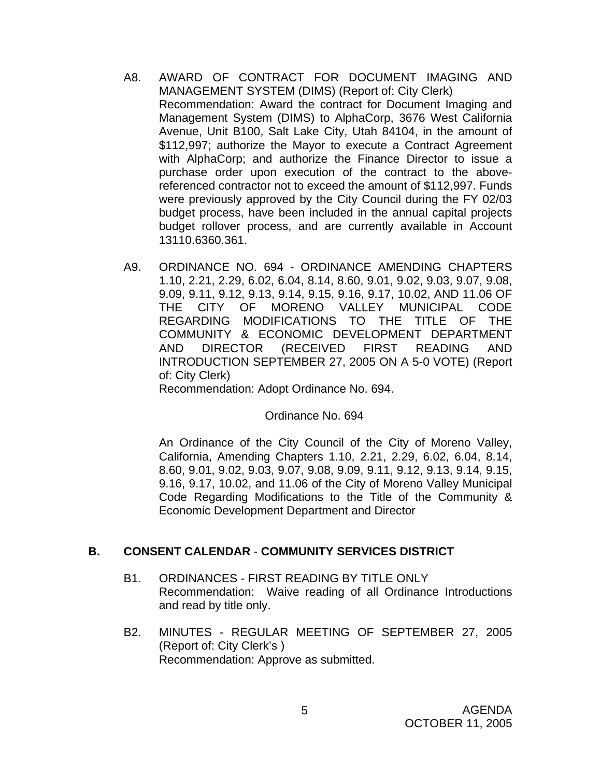- A8. AWARD OF CONTRACT FOR DOCUMENT IMAGING AND MANAGEMENT SYSTEM (DIMS) (Report of: City Clerk) Recommendation: Award the contract for Document Imaging and Management System (DIMS) to AlphaCorp, 3676 West California Avenue, Unit B100, Salt Lake City, Utah 84104, in the amount of \$112,997; authorize the Mayor to execute a Contract Agreement with AlphaCorp; and authorize the Finance Director to issue a purchase order upon execution of the contract to the abovereferenced contractor not to exceed the amount of \$112,997. Funds were previously approved by the City Council during the FY 02/03 budget process, have been included in the annual capital projects budget rollover process, and are currently available in Account 13110.6360.361.
- A9. ORDINANCE NO. 694 ORDINANCE AMENDING CHAPTERS 1.10, 2.21, 2.29, 6.02, 6.04, 8.14, 8.60, 9.01, 9.02, 9.03, 9.07, 9.08, 9.09, 9.11, 9.12, 9.13, 9.14, 9.15, 9.16, 9.17, 10.02, AND 11.06 OF THE CITY OF MORENO VALLEY MUNICIPAL CODE REGARDING MODIFICATIONS TO THE TITLE OF THE COMMUNITY & ECONOMIC DEVELOPMENT DEPARTMENT AND DIRECTOR (RECEIVED FIRST READING AND INTRODUCTION SEPTEMBER 27, 2005 ON A 5-0 VOTE) (Report of: City Clerk)

Recommendation: Adopt Ordinance No. 694.

Ordinance No. 694

An Ordinance of the City Council of the City of Moreno Valley, California, Amending Chapters 1.10, 2.21, 2.29, 6.02, 6.04, 8.14, 8.60, 9.01, 9.02, 9.03, 9.07, 9.08, 9.09, 9.11, 9.12, 9.13, 9.14, 9.15, 9.16, 9.17, 10.02, and 11.06 of the City of Moreno Valley Municipal Code Regarding Modifications to the Title of the Community & Economic Development Department and Director

# **B. CONSENT CALENDAR** - **COMMUNITY SERVICES DISTRICT**

- B1. ORDINANCES FIRST READING BY TITLE ONLY Recommendation: Waive reading of all Ordinance Introductions and read by title only.
- B2. MINUTES REGULAR MEETING OF SEPTEMBER 27, 2005 (Report of: City Clerk's ) Recommendation: Approve as submitted.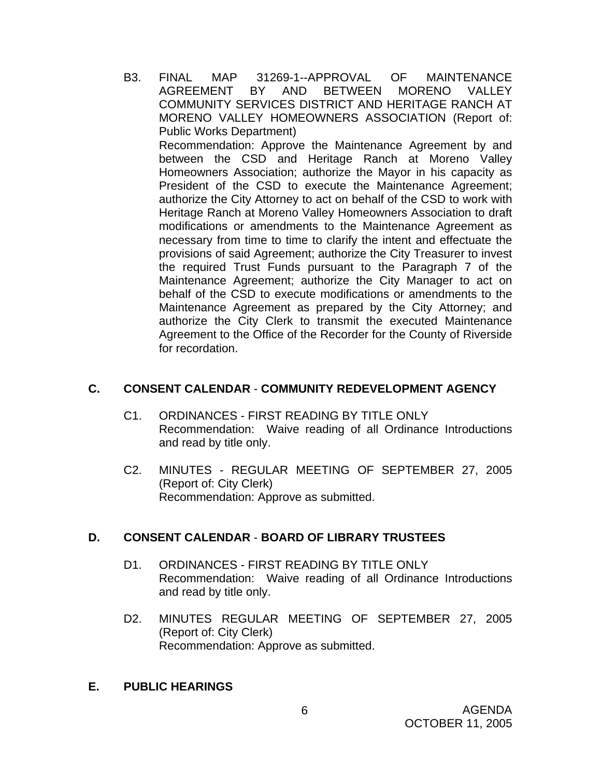B3. FINAL MAP 31269-1--APPROVAL OF MAINTENANCE AGREEMENT BY AND BETWEEN MORENO VALLEY COMMUNITY SERVICES DISTRICT AND HERITAGE RANCH AT MORENO VALLEY HOMEOWNERS ASSOCIATION (Report of: Public Works Department) Recommendation: Approve the Maintenance Agreement by and between the CSD and Heritage Ranch at Moreno Valley Homeowners Association; authorize the Mayor in his capacity as President of the CSD to execute the Maintenance Agreement; authorize the City Attorney to act on behalf of the CSD to work with Heritage Ranch at Moreno Valley Homeowners Association to draft modifications or amendments to the Maintenance Agreement as necessary from time to time to clarify the intent and effectuate the provisions of said Agreement; authorize the City Treasurer to invest the required Trust Funds pursuant to the Paragraph 7 of the Maintenance Agreement; authorize the City Manager to act on behalf of the CSD to execute modifications or amendments to the Maintenance Agreement as prepared by the City Attorney; and authorize the City Clerk to transmit the executed Maintenance Agreement to the Office of the Recorder for the County of Riverside for recordation.

# **C. CONSENT CALENDAR** - **COMMUNITY REDEVELOPMENT AGENCY**

- C1. ORDINANCES FIRST READING BY TITLE ONLY Recommendation: Waive reading of all Ordinance Introductions and read by title only.
- C2. MINUTES REGULAR MEETING OF SEPTEMBER 27, 2005 (Report of: City Clerk) Recommendation: Approve as submitted.

#### **D. CONSENT CALENDAR** - **BOARD OF LIBRARY TRUSTEES**

- D1. ORDINANCES FIRST READING BY TITLE ONLY Recommendation: Waive reading of all Ordinance Introductions and read by title only.
- D2. MINUTES REGULAR MEETING OF SEPTEMBER 27, 2005 (Report of: City Clerk) Recommendation: Approve as submitted.

# **E. PUBLIC HEARINGS**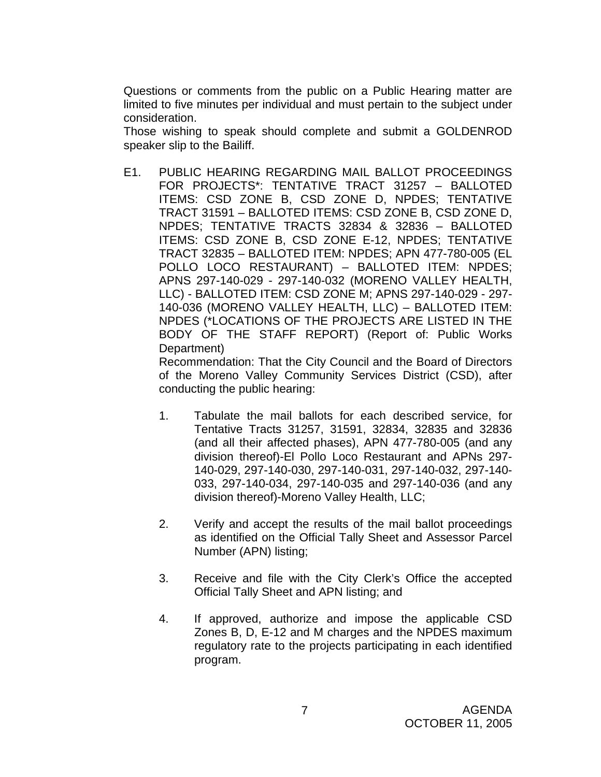Questions or comments from the public on a Public Hearing matter are limited to five minutes per individual and must pertain to the subject under consideration.

 Those wishing to speak should complete and submit a GOLDENROD speaker slip to the Bailiff.

E1. PUBLIC HEARING REGARDING MAIL BALLOT PROCEEDINGS FOR PROJECTS\*: TENTATIVE TRACT 31257 – BALLOTED ITEMS: CSD ZONE B, CSD ZONE D, NPDES; TENTATIVE TRACT 31591 – BALLOTED ITEMS: CSD ZONE B, CSD ZONE D, NPDES; TENTATIVE TRACTS 32834 & 32836 – BALLOTED ITEMS: CSD ZONE B, CSD ZONE E-12, NPDES; TENTATIVE TRACT 32835 – BALLOTED ITEM: NPDES; APN 477-780-005 (EL POLLO LOCO RESTAURANT) – BALLOTED ITEM: NPDES; APNS 297-140-029 - 297-140-032 (MORENO VALLEY HEALTH, LLC) - BALLOTED ITEM: CSD ZONE M; APNS 297-140-029 - 297- 140-036 (MORENO VALLEY HEALTH, LLC) – BALLOTED ITEM: NPDES (\*LOCATIONS OF THE PROJECTS ARE LISTED IN THE BODY OF THE STAFF REPORT) (Report of: Public Works Department)

 Recommendation: That the City Council and the Board of Directors of the Moreno Valley Community Services District (CSD), after conducting the public hearing:

- 1. Tabulate the mail ballots for each described service, for Tentative Tracts 31257, 31591, 32834, 32835 and 32836 (and all their affected phases), APN 477-780-005 (and any division thereof)-El Pollo Loco Restaurant and APNs 297- 140-029, 297-140-030, 297-140-031, 297-140-032, 297-140- 033, 297-140-034, 297-140-035 and 297-140-036 (and any division thereof)-Moreno Valley Health, LLC;
- 2. Verify and accept the results of the mail ballot proceedings as identified on the Official Tally Sheet and Assessor Parcel Number (APN) listing;
- 3. Receive and file with the City Clerk's Office the accepted Official Tally Sheet and APN listing; and
- 4. If approved, authorize and impose the applicable CSD Zones B, D, E-12 and M charges and the NPDES maximum regulatory rate to the projects participating in each identified program.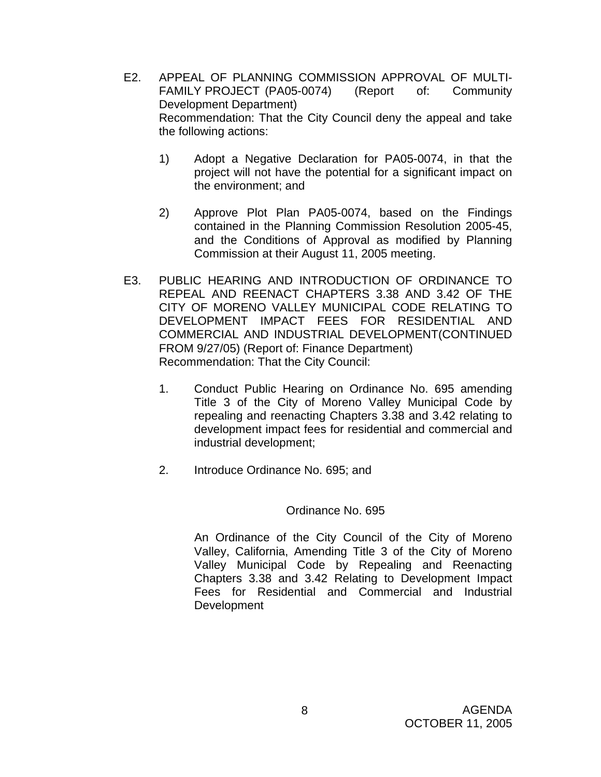- E2. APPEAL OF PLANNING COMMISSION APPROVAL OF MULTI-FAMILY PROJECT (PA05-0074) (Report of: Community Development Department) Recommendation: That the City Council deny the appeal and take the following actions:
	- 1) Adopt a Negative Declaration for PA05-0074, in that the project will not have the potential for a significant impact on the environment; and
	- 2) Approve Plot Plan PA05-0074, based on the Findings contained in the Planning Commission Resolution 2005-45, and the Conditions of Approval as modified by Planning Commission at their August 11, 2005 meeting.
- E3. PUBLIC HEARING AND INTRODUCTION OF ORDINANCE TO REPEAL AND REENACT CHAPTERS 3.38 AND 3.42 OF THE CITY OF MORENO VALLEY MUNICIPAL CODE RELATING TO DEVELOPMENT IMPACT FEES FOR RESIDENTIAL AND COMMERCIAL AND INDUSTRIAL DEVELOPMENT(CONTINUED FROM 9/27/05) (Report of: Finance Department) Recommendation: That the City Council:
	- 1. Conduct Public Hearing on Ordinance No. 695 amending Title 3 of the City of Moreno Valley Municipal Code by repealing and reenacting Chapters 3.38 and 3.42 relating to development impact fees for residential and commercial and industrial development;
	- 2. Introduce Ordinance No. 695; and

#### Ordinance No. 695

 An Ordinance of the City Council of the City of Moreno Valley, California, Amending Title 3 of the City of Moreno Valley Municipal Code by Repealing and Reenacting Chapters 3.38 and 3.42 Relating to Development Impact Fees for Residential and Commercial and Industrial Development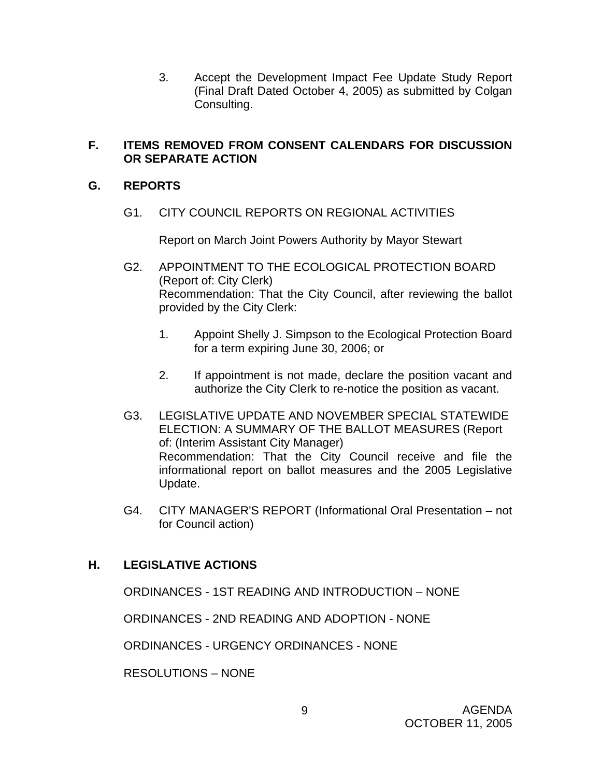3. Accept the Development Impact Fee Update Study Report (Final Draft Dated October 4, 2005) as submitted by Colgan Consulting.

# **F. ITEMS REMOVED FROM CONSENT CALENDARS FOR DISCUSSION OR SEPARATE ACTION**

# **G. REPORTS**

G1. CITY COUNCIL REPORTS ON REGIONAL ACTIVITIES

Report on March Joint Powers Authority by Mayor Stewart

- G2. APPOINTMENT TO THE ECOLOGICAL PROTECTION BOARD (Report of: City Clerk) Recommendation: That the City Council, after reviewing the ballot provided by the City Clerk:
	- 1. Appoint Shelly J. Simpson to the Ecological Protection Board for a term expiring June 30, 2006; or
	- 2. If appointment is not made, declare the position vacant and authorize the City Clerk to re-notice the position as vacant.
- G3. LEGISLATIVE UPDATE AND NOVEMBER SPECIAL STATEWIDE ELECTION: A SUMMARY OF THE BALLOT MEASURES (Report of: (Interim Assistant City Manager) Recommendation: That the City Council receive and file the informational report on ballot measures and the 2005 Legislative Update.
- G4. CITY MANAGER'S REPORT (Informational Oral Presentation not for Council action)

# **H. LEGISLATIVE ACTIONS**

ORDINANCES - 1ST READING AND INTRODUCTION – NONE

ORDINANCES - 2ND READING AND ADOPTION - NONE

ORDINANCES - URGENCY ORDINANCES - NONE

RESOLUTIONS – NONE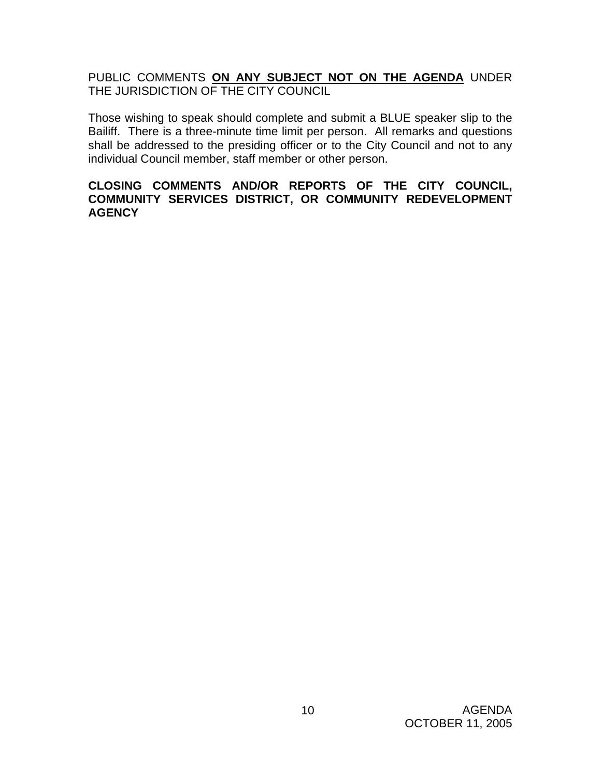PUBLIC COMMENTS **ON ANY SUBJECT NOT ON THE AGENDA** UNDER THE JURISDICTION OF THE CITY COUNCIL

Those wishing to speak should complete and submit a BLUE speaker slip to the Bailiff. There is a three-minute time limit per person. All remarks and questions shall be addressed to the presiding officer or to the City Council and not to any individual Council member, staff member or other person.

# **CLOSING COMMENTS AND/OR REPORTS OF THE CITY COUNCIL, COMMUNITY SERVICES DISTRICT, OR COMMUNITY REDEVELOPMENT AGENCY**